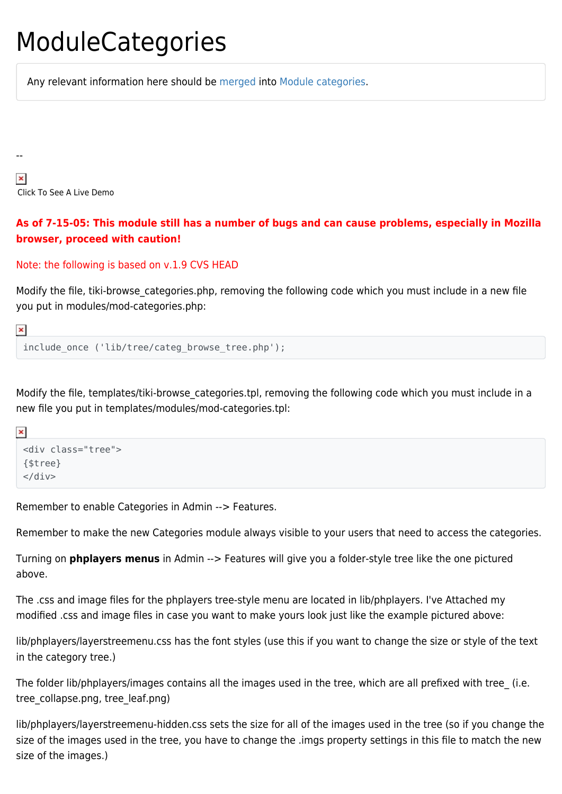### ModuleCategories

Any relevant information here should be [merged](https://tiki.org/merge) into [Module categories](http://doc.tiki.org/Module%20categories).

 $\pmb{\times}$ Click To See A Live Demo

### **As of 7-15-05: This module still has a number of bugs and can cause problems, especially in Mozilla browser, proceed with caution!**

#### Note: the following is based on v.1.9 CVS HEAD

Modify the file, tiki-browse\_categories.php, removing the following code which you must include in a new file you put in modules/mod-categories.php:

 $\pmb{\times}$ 

--

```
include once ('lib/tree/categ browse tree.php');
```
Modify the file, templates/tiki-browse categories.tpl, removing the following code which you must include in a new file you put in templates/modules/mod-categories.tpl:

```
\pmb{\times}
```

```
<div class="tree">
{$tree}
\langlediv>
```
Remember to enable Categories in Admin --> Features.

Remember to make the new Categories module always visible to your users that need to access the categories.

Turning on **phplayers menus** in Admin --> Features will give you a folder-style tree like the one pictured above.

The .css and image files for the phplayers tree-style menu are located in lib/phplayers. I've Attached my modified .css and image files in case you want to make yours look just like the example pictured above:

lib/phplayers/layerstreemenu.css has the font styles (use this if you want to change the size or style of the text in the category tree.)

The folder lib/phplayers/images contains all the images used in the tree, which are all prefixed with tree (i.e. tree\_collapse.png, tree\_leaf.png)

lib/phplayers/layerstreemenu-hidden.css sets the size for all of the images used in the tree (so if you change the size of the images used in the tree, you have to change the .imgs property settings in this file to match the new size of the images.)